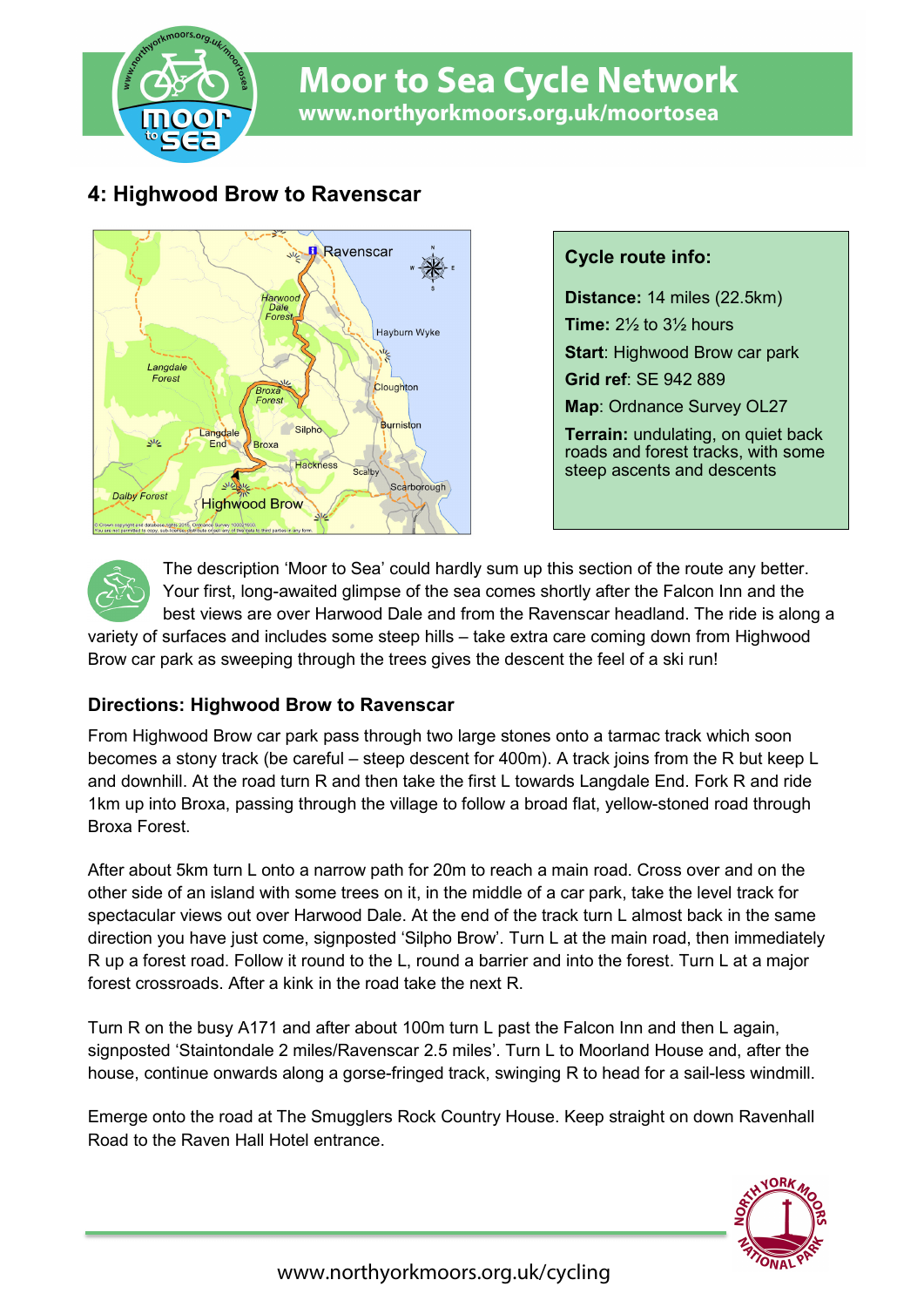

# **Moor to Sea Cycle Network** www.northyorkmoors.org.uk/moortosea

## **4: Highwood Brow to Ravenscar**



#### **Cycle route info:**

**Distance:** 14 miles (22.5km) **Time:** 2½ to 3½ hours **Start**: Highwood Brow car park **Grid ref**: SE 942 889 **Map**: Ordnance Survey OL27 **Terrain:** undulating, on quiet back roads and forest tracks, with some steep ascents and descents

The description 'Moor to Sea' could hardly sum up this section of the route any better. Your first, long-awaited glimpse of the sea comes shortly after the Falcon Inn and the best views are over Harwood Dale and from the Ravenscar headland. The ride is along a

variety of surfaces and includes some steep hills – take extra care coming down from Highwood Brow car park as sweeping through the trees gives the descent the feel of a ski run!

#### **Directions: Highwood Brow to Ravenscar**

From Highwood Brow car park pass through two large stones onto a tarmac track which soon becomes a stony track (be careful – steep descent for 400m). A track joins from the R but keep L and downhill. At the road turn R and then take the first L towards Langdale End. Fork R and ride 1km up into Broxa, passing through the village to follow a broad flat, yellow-stoned road through Broxa Forest.

After about 5km turn L onto a narrow path for 20m to reach a main road. Cross over and on the other side of an island with some trees on it, in the middle of a car park, take the level track for spectacular views out over Harwood Dale. At the end of the track turn L almost back in the same direction you have just come, signposted 'Silpho Brow'. Turn L at the main road, then immediately R up a forest road. Follow it round to the L, round a barrier and into the forest. Turn L at a major forest crossroads. After a kink in the road take the next R.

Turn R on the busy A171 and after about 100m turn L past the Falcon Inn and then L again, signposted 'Staintondale 2 miles/Ravenscar 2.5 miles'. Turn L to Moorland House and, after the house, continue onwards along a gorse-fringed track, swinging R to head for a sail-less windmill.

Emerge onto the road at The Smugglers Rock Country House. Keep straight on down Ravenhall Road to the Raven Hall Hotel entrance.